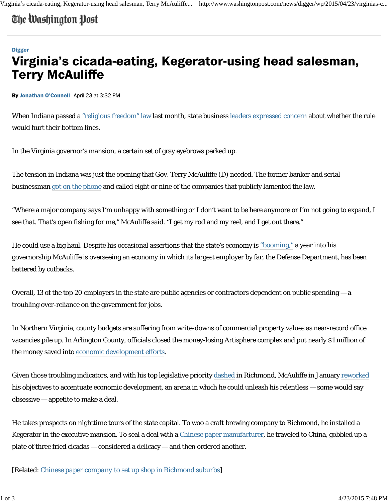## The Washington Post

## **Digger** Virginia's cicada-eating, Kegerator-using head salesman, **Terry McAuliffe**

By Jonathan O'Connell April 23 at 3:32 PM

When Indiana passed a "religious freedom" law last month, state business leaders expressed concern about whether the rule would hurt their bottom lines.

In the Virginia governor's mansion, a certain set of gray eyebrows perked up.

The tension in Indiana was just the opening that Gov. Terry McAuliffe (D) needed. The former banker and serial businessman got on the phone and called eight or nine of the companies that publicly lamented the law.

"Where a major company says I'm unhappy with something or I don't want to be here anymore or I'm not going to expand, I see that. That's open fishing for me," McAuliffe said. "I get my rod and my reel, and I get out there."

He could use a big haul. Despite his occasional assertions that the state's economy is "booming," a year into his governorship McAuliffe is overseeing an economy in which its largest employer by far, the Defense Department, has been battered by cutbacks.

Overall, 13 of the top 20 employers in the state are public agencies or contractors dependent on public spending — a troubling over-reliance on the government for jobs.

In Northern Virginia, county budgets are suffering from write-downs of commercial property values as near-record office vacancies pile up. In Arlington County, officials closed the money-losing Artisphere complex and put nearly \$1 million of the money saved into economic development efforts..

Given those troubling indicators, and with his top legislative priority dashed in Richmond, McAuliffe in January reworked his objectives to accentuate economic development, an arena in which he could unleash his relentless — some would say obsessive — appetite to make a deal.

He takes prospects on nighttime tours of the state capital. To woo a craft brewing company to Richmond, he installed a Kegerator in the executive mansion. To seal a deal with a Chinese paper manufacturer, he traveled to China, gobbled up a plate of three fried cicadas — considered a delicacy — and then ordered another.

[Related: *Chinese paper company to set up shop in Richmond suburbs*]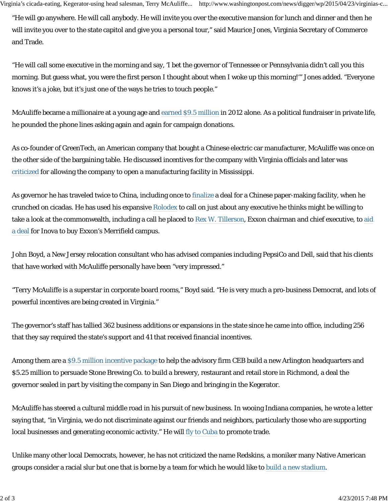Virginia's cicada-eating, Kegerator-using head salesman, Terry McAuliffe... http://www.washingtonpost.com/news/digger/wp/2015/04/23/virginias-c...

"He will go anywhere. He will call anybody. He will invite you over the executive mansion for lunch and dinner and then he will invite you over to the state capitol and give you a personal tour," said Maurice Jones, Virginia Secretary of Commerce and Trade.

"He will call some executive in the morning and say, 'I bet the governor of Tennessee or Pennsylvania didn't call you this morning. But guess what, you were the first person I thought about when I woke up this morning!'" Jones added. "Everyone knows it's a joke, but it's just one of the ways he tries to touch people."

McAuliffe became a millionaire at a young age and earned \$9.5 million in 2012 alone. As a political fundraiser in private life, he pounded the phone lines asking again and again for campaign donations.

As co-founder of GreenTech, an American company that bought a Chinese electric car manufacturer, McAuliffe was once on the other side of the bargaining table. He discussed incentives for the company with Virginia officials and later was criticized for allowing the company to open a manufacturing facility in Mississippi.

As governor he has traveled twice to China, including once to finalize a deal for a Chinese paper-making facility, when he crunched on cicadas. He has used his expansive Rolodex to call on just about any executive he thinks might be willing to take a look at the commonwealth, including a call he placed to Rex W. Tillerson, Exxon chairman and chief executive, to aid a deal for Inova to buy Exxon's Merrifield campus.

John Boyd, a New Jersey relocation consultant who has advised companies including PepsiCo and Dell, said that his clients that have worked with McAuliffe personally have been "very impressed."

"Terry McAuliffe is a superstar in corporate board rooms," Boyd said. "He is very much a pro-business Democrat, and lots of powerful incentives are being created in Virginia."

The governor's staff has tallied 362 business additions or expansions in the state since he came into office, including 256 that they say required the state's support and 41 that received financial incentives.

Among them are a \$9.5 million incentive package to help the advisory firm CEB build a new Arlington headquarters and \$5.25 million to persuade Stone Brewing Co. to build a brewery, restaurant and retail store in Richmond, a deal the governor sealed in part by visiting the company in San Diego and bringing in the Kegerator.

McAuliffe has steered a cultural middle road in his pursuit of new business. In wooing Indiana companies, he wrote a letter saying that, "in Virginia, we do not discriminate against our friends and neighbors, particularly those who are supporting local businesses and generating economic activity." He will fly to Cuba to promote trade.

Unlike many other local Democrats, however, he has not criticized the name Redskins, a moniker many Native American groups consider a racial slur but one that is borne by a team for which he would like to build a new stadium..